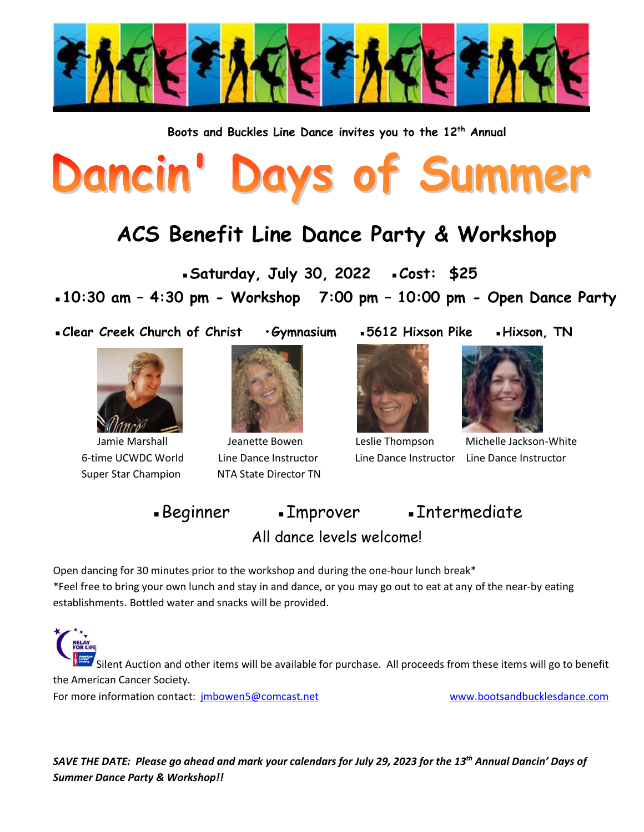

**Boots and Buckles Line Dance invites you to the 12 th Annual**

## Days of Summer Dancin'

## **ACS Benefit Line Dance Party & Workshop**

 **▪Saturday, July 30, 2022 ▪Cost: \$25** 

**▪10:30 am – 4:30 pm - Workshop 7:00 pm – 10:00 pm - Open Dance Party** 

**▪Clear Creek Church of Christ •Gymnasium ▪5612 Hixson Pike ▪Hixson, TN** 



Super Star Champion NTA State Director TN



6-time UCWDC World Line Dance Instructor Line Dance Instructor Line Dance Instructor





Jamie Marshall Jeanette Bowen Leslie Thompson Michelle Jackson-White

■Beginner •Improver •Intermediate All dance levels welcome!

Open dancing for 30 minutes prior to the workshop and during the one-hour lunch break\* \*Feel free to bring your own lunch and stay in and dance, or you may go out to eat at any of the near-by eating establishments. Bottled water and snacks will be provided.

Silent Auction and other items will be available for purchase. All proceeds from these items will go to benefit the American Cancer Society.

For more information contact: [jmbowen5@comcast.net](mailto:jmbowen5@comcast.net) [www.bootsandbucklesdance.com](http://www.bootsandbucklesdance.com/)

*SAVE THE DATE: Please go ahead and mark your calendars for July 29, 2023 for the 13 th Annual Dancin' Days of Summer Dance Party & Workshop!!*